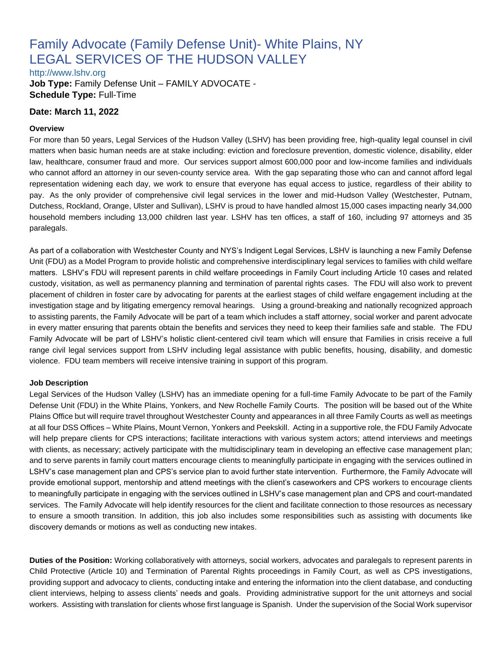# Family Advocate (Family Defense Unit)- White Plains, NY LEGAL SERVICES OF THE HUDSON VALLEY

[http://www.lshv.org](http://www.lshv.org/)

**Job Type:** Family Defense Unit – FAMILY ADVOCATE - **Schedule Type:** Full-Time

#### **Date: March 11, 2022**

#### **Overview**

For more than 50 years, Legal Services of the Hudson Valley (LSHV) has been providing free, high-quality legal counsel in civil matters when basic human needs are at stake including: eviction and foreclosure prevention, domestic violence, disability, elder law, healthcare, consumer fraud and more. Our services support almost 600,000 poor and low-income families and individuals who cannot afford an attorney in our seven-county service area. With the gap separating those who can and cannot afford legal representation widening each day, we work to ensure that everyone has equal access to justice, regardless of their ability to pay. As the only provider of comprehensive civil legal services in the lower and mid-Hudson Valley (Westchester, Putnam, Dutchess, Rockland, Orange, Ulster and Sullivan), LSHV is proud to have handled almost 15,000 cases impacting nearly 34,000 household members including 13,000 children last year. LSHV has ten offices, a staff of 160, including 97 attorneys and 35 paralegals.

As part of a collaboration with Westchester County and NYS's Indigent Legal Services, LSHV is launching a new Family Defense Unit (FDU) as a Model Program to provide holistic and comprehensive interdisciplinary legal services to families with child welfare matters. LSHV's FDU will represent parents in child welfare proceedings in Family Court including Article 10 cases and related custody, visitation, as well as permanency planning and termination of parental rights cases. The FDU will also work to prevent placement of children in foster care by advocating for parents at the earliest stages of child welfare engagement including at the investigation stage and by litigating emergency removal hearings. Using a ground-breaking and nationally recognized approach to assisting parents, the Family Advocate will be part of a team which includes a staff attorney, social worker and parent advocate in every matter ensuring that parents obtain the benefits and services they need to keep their families safe and stable. The FDU Family Advocate will be part of LSHV's holistic client-centered civil team which will ensure that Families in crisis receive a full range civil legal services support from LSHV including legal assistance with public benefits, housing, disability, and domestic violence. FDU team members will receive intensive training in support of this program.

#### **Job Description**

Legal Services of the Hudson Valley (LSHV) has an immediate opening for a full-time Family Advocate to be part of the Family Defense Unit (FDU) in the White Plains, Yonkers, and New Rochelle Family Courts. The position will be based out of the White Plains Office but will require travel throughout Westchester County and appearances in all three Family Courts as well as meetings at all four DSS Offices – White Plains, Mount Vernon, Yonkers and Peekskill. Acting in a supportive role, the FDU Family Advocate will help prepare clients for CPS interactions; facilitate interactions with various system actors; attend interviews and meetings with clients, as necessary; actively participate with the multidisciplinary team in developing an effective case management plan; and to serve parents in family court matters encourage clients to meaningfully participate in engaging with the services outlined in LSHV's case management plan and CPS's service plan to avoid further state intervention. Furthermore, the Family Advocate will provide emotional support, mentorship and attend meetings with the client's caseworkers and CPS workers to encourage clients to meaningfully participate in engaging with the services outlined in LSHV's case management plan and CPS and court-mandated services. The Family Advocate will help identify resources for the client and facilitate connection to those resources as necessary to ensure a smooth transition. In addition, this job also includes some responsibilities such as assisting with documents like discovery demands or motions as well as conducting new intakes.

**Duties of the Position:** Working collaboratively with attorneys, social workers, advocates and paralegals to represent parents in Child Protective (Article 10) and Termination of Parental Rights proceedings in Family Court, as well as CPS investigations, providing support and advocacy to clients, conducting intake and entering the information into the client database, and conducting client interviews, helping to assess clients' needs and goals. Providing administrative support for the unit attorneys and social workers. Assisting with translation for clients whose first language is Spanish. Under the supervision of the Social Work supervisor